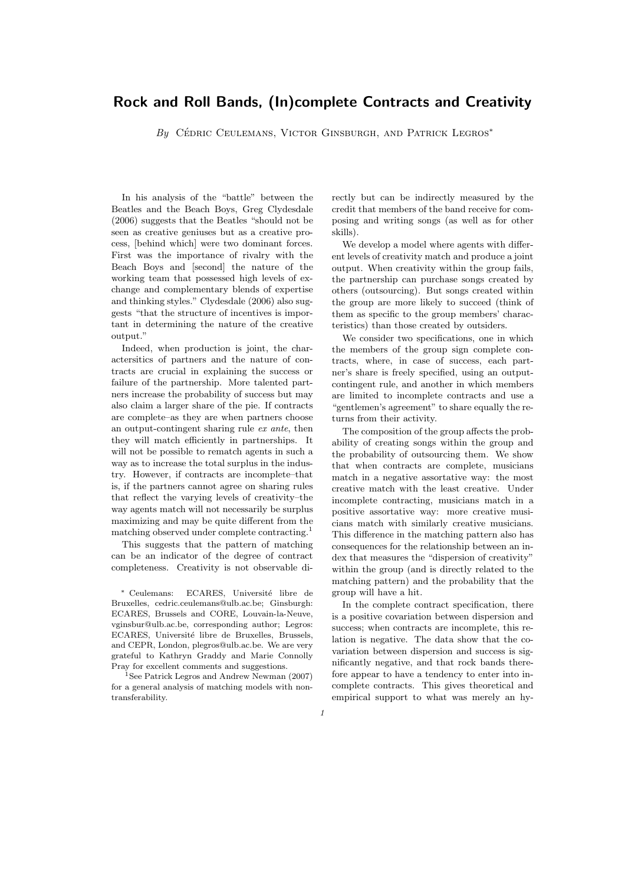# Rock and Roll Bands, (In)complete Contracts and Creativity

By CÉDRIC CEULEMANS, VICTOR GINSBURGH, AND PATRICK LEGROS<sup>\*</sup>

In his analysis of the "battle" between the Beatles and the Beach Boys, Greg Clydesdale (2006) suggests that the Beatles "should not be seen as creative geniuses but as a creative process, [behind which] were two dominant forces. First was the importance of rivalry with the Beach Boys and [second] the nature of the working team that possessed high levels of exchange and complementary blends of expertise and thinking styles." Clydesdale (2006) also suggests "that the structure of incentives is important in determining the nature of the creative output."

Indeed, when production is joint, the charactersitics of partners and the nature of contracts are crucial in explaining the success or failure of the partnership. More talented partners increase the probability of success but may also claim a larger share of the pie. If contracts are complete–as they are when partners choose an output-contingent sharing rule ex ante, then they will match efficiently in partnerships. It will not be possible to rematch agents in such a way as to increase the total surplus in the industry. However, if contracts are incomplete–that is, if the partners cannot agree on sharing rules that reflect the varying levels of creativity–the way agents match will not necessarily be surplus maximizing and may be quite different from the matching observed under complete contracting.<sup>1</sup>

This suggests that the pattern of matching can be an indicator of the degree of contract completeness. Creativity is not observable di-

<sup>∗</sup> Ceulemans: ECARES, Universit´e libre de Bruxelles, cedric.ceulemans@ulb.ac.be; Ginsburgh: ECARES, Brussels and CORE, Louvain-la-Neuve, vginsbur@ulb.ac.be, corresponding author; Legros: ECARES, Université libre de Bruxelles, Brussels, and CEPR, London, plegros@ulb.ac.be. We are very grateful to Kathryn Graddy and Marie Connolly Pray for excellent comments and suggestions.

<sup>1</sup>See Patrick Legros and Andrew Newman (2007) for a general analysis of matching models with nontransferability.

rectly but can be indirectly measured by the credit that members of the band receive for composing and writing songs (as well as for other skills).

We develop a model where agents with different levels of creativity match and produce a joint output. When creativity within the group fails, the partnership can purchase songs created by others (outsourcing). But songs created within the group are more likely to succeed (think of them as specific to the group members' characteristics) than those created by outsiders.

We consider two specifications, one in which the members of the group sign complete contracts, where, in case of success, each partner's share is freely specified, using an outputcontingent rule, and another in which members are limited to incomplete contracts and use a "gentlemen's agreement" to share equally the returns from their activity.

The composition of the group affects the probability of creating songs within the group and the probability of outsourcing them. We show that when contracts are complete, musicians match in a negative assortative way: the most creative match with the least creative. Under incomplete contracting, musicians match in a positive assortative way: more creative musicians match with similarly creative musicians. This difference in the matching pattern also has consequences for the relationship between an index that measures the "dispersion of creativity" within the group (and is directly related to the matching pattern) and the probability that the group will have a hit.

In the complete contract specification, there is a positive covariation between dispersion and success; when contracts are incomplete, this relation is negative. The data show that the covariation between dispersion and success is significantly negative, and that rock bands therefore appear to have a tendency to enter into incomplete contracts. This gives theoretical and empirical support to what was merely an hy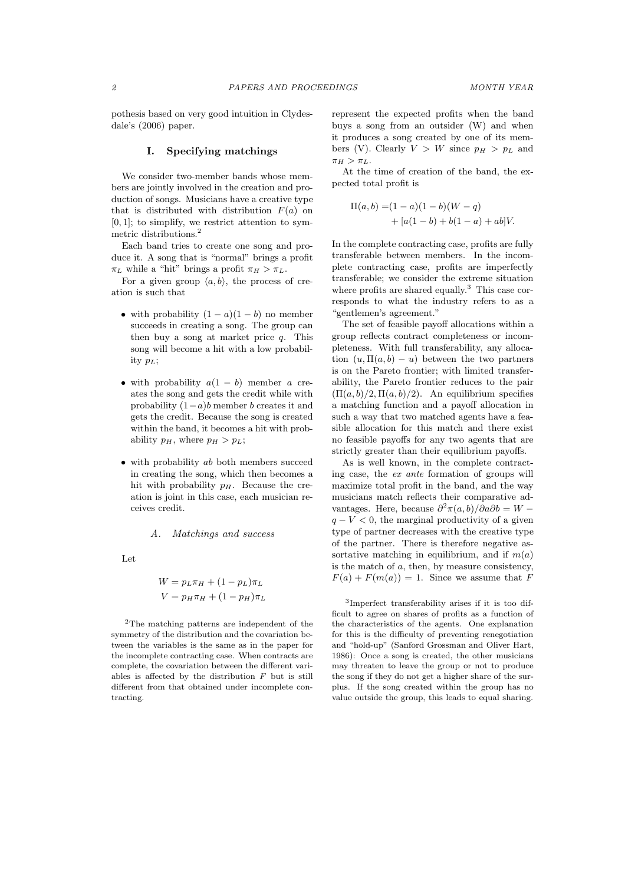pothesis based on very good intuition in Clydesdale's (2006) paper.

## I. Specifying matchings

We consider two-member bands whose members are jointly involved in the creation and production of songs. Musicians have a creative type that is distributed with distribution  $F(a)$  on  $[0, 1]$ ; to simplify, we restrict attention to symmetric distributions.<sup>2</sup>

Each band tries to create one song and produce it. A song that is "normal" brings a profit  $\pi_L$  while a "hit" brings a profit  $\pi_H > \pi_L.$ 

For a given group  $\langle a, b \rangle$ , the process of creation is such that

- with probability  $(1 a)(1 b)$  no member succeeds in creating a song. The group can then buy a song at market price  $q$ . This song will become a hit with a low probability  $p_L$ ;
- with probability  $a(1-b)$  member a creates the song and gets the credit while with probability  $(1-a)b$  member b creates it and gets the credit. Because the song is created within the band, it becomes a hit with probability  $p_H$ , where  $p_H > p_L$ ;
- with probability ab both members succeed in creating the song, which then becomes a hit with probability  $p<sub>H</sub>$ . Because the creation is joint in this case, each musician receives credit.

A. Matchings and success

Let

$$
W = p_L \pi_H + (1 - p_L) \pi_L
$$

$$
V = p_H \pi_H + (1 - p_H) \pi_L
$$

<sup>2</sup>The matching patterns are independent of the symmetry of the distribution and the covariation between the variables is the same as in the paper for the incomplete contracting case. When contracts are complete, the covariation between the different variables is affected by the distribution  $F$  but is still different from that obtained under incomplete contracting.

represent the expected profits when the band buys a song from an outsider (W) and when it produces a song created by one of its members (V). Clearly  $V > W$  since  $p_H > p_L$  and  $\pi_H > \pi_L$ .

At the time of creation of the band, the expected total profit is

$$
\Pi(a, b) = (1 - a)(1 - b)(W - q)
$$
  
+  $[a(1 - b) + b(1 - a) + ab]V.$ 

In the complete contracting case, profits are fully transferable between members. In the incomplete contracting case, profits are imperfectly transferable; we consider the extreme situation where profits are shared equally.<sup>3</sup> This case corresponds to what the industry refers to as a "gentlemen's agreement."

The set of feasible payoff allocations within a group reflects contract completeness or incompleteness. With full transferability, any allocation  $(u, \Pi(a, b) - u)$  between the two partners is on the Pareto frontier; with limited transferability, the Pareto frontier reduces to the pair  $(\Pi(a, b)/2, \Pi(a, b)/2)$ . An equilibrium specifies a matching function and a payoff allocation in such a way that two matched agents have a feasible allocation for this match and there exist no feasible payoffs for any two agents that are strictly greater than their equilibrium payoffs.

As is well known, in the complete contracting case, the ex ante formation of groups will maximize total profit in the band, and the way musicians match reflects their comparative advantages. Here, because  $\partial^2 \pi(a, b)/\partial a \partial b = W$  $q - V < 0$ , the marginal productivity of a given type of partner decreases with the creative type of the partner. There is therefore negative assortative matching in equilibrium, and if  $m(a)$ is the match of  $a$ , then, by measure consistency,  $F(a) + F(m(a)) = 1$ . Since we assume that F

3 Imperfect transferability arises if it is too difficult to agree on shares of profits as a function of the characteristics of the agents. One explanation for this is the difficulty of preventing renegotiation and "hold-up" (Sanford Grossman and Oliver Hart, 1986): Once a song is created, the other musicians may threaten to leave the group or not to produce the song if they do not get a higher share of the surplus. If the song created within the group has no value outside the group, this leads to equal sharing.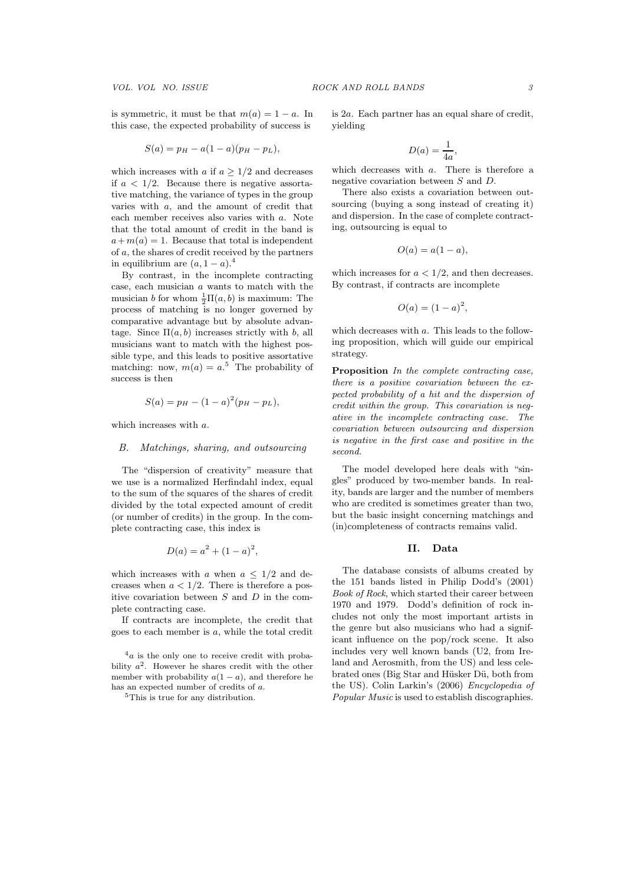$$
S(a) = p_H - a(1 - a)(p_H - p_L),
$$

which increases with a if  $a \geq 1/2$  and decreases if  $a < 1/2$ . Because there is negative assortative matching, the variance of types in the group varies with a, and the amount of credit that each member receives also varies with a. Note that the total amount of credit in the band is  $a+m(a) = 1$ . Because that total is independent of a, the shares of credit received by the partners in equilibrium are  $(a, 1 - a)$ .<sup>4</sup>

By contrast, in the incomplete contracting case, each musician a wants to match with the musician b for whom  $\frac{1}{2}\Pi(a, b)$  is maximum: The process of matching is no longer governed by comparative advantage but by absolute advantage. Since  $\Pi(a, b)$  increases strictly with b, all musicians want to match with the highest possible type, and this leads to positive assortative matching: now,  $m(a) = a^{5}$ . The probability of success is then

$$
S(a) = pH - (1 - a)2(pH - pL),
$$

which increases with a.

### B. Matchings, sharing, and outsourcing

The "dispersion of creativity" measure that we use is a normalized Herfindahl index, equal to the sum of the squares of the shares of credit divided by the total expected amount of credit (or number of credits) in the group. In the complete contracting case, this index is

$$
D(a) = a^2 + (1 - a)^2,
$$

which increases with a when  $a \leq 1/2$  and decreases when  $a < 1/2$ . There is therefore a positive covariation between S and D in the complete contracting case.

If contracts are incomplete, the credit that goes to each member is a, while the total credit is 2a. Each partner has an equal share of credit, yielding

$$
D(a) = \frac{1}{4a},
$$

which decreases with a. There is therefore a negative covariation between S and D.

There also exists a covariation between outsourcing (buying a song instead of creating it) and dispersion. In the case of complete contracting, outsourcing is equal to

$$
O(a) = a(1 - a),
$$

which increases for  $a < 1/2$ , and then decreases. By contrast, if contracts are incomplete

$$
O(a) = (1 - a)^2,
$$

which decreases with a. This leads to the following proposition, which will guide our empirical strategy.

Proposition In the complete contracting case, there is a positive covariation between the expected probability of a hit and the dispersion of credit within the group. This covariation is negative in the incomplete contracting case. The covariation between outsourcing and dispersion is negative in the first case and positive in the second.

The model developed here deals with "singles" produced by two-member bands. In reality, bands are larger and the number of members who are credited is sometimes greater than two, but the basic insight concerning matchings and (in)completeness of contracts remains valid.

#### II. Data

The database consists of albums created by the 151 bands listed in Philip Dodd's (2001) Book of Rock, which started their career between 1970 and 1979. Dodd's definition of rock includes not only the most important artists in the genre but also musicians who had a significant influence on the pop/rock scene. It also includes very well known bands (U2, from Ireland and Aerosmith, from the US) and less celebrated ones (Big Star and Hüsker Dü, both from the US). Colin Larkin's (2006) Encyclopedia of Popular Music is used to establish discographies.

 $4a$  is the only one to receive credit with probability  $a^2$ . However he shares credit with the other member with probability  $a(1 - a)$ , and therefore he has an expected number of credits of a.

<sup>&</sup>lt;sup>5</sup>This is true for any distribution.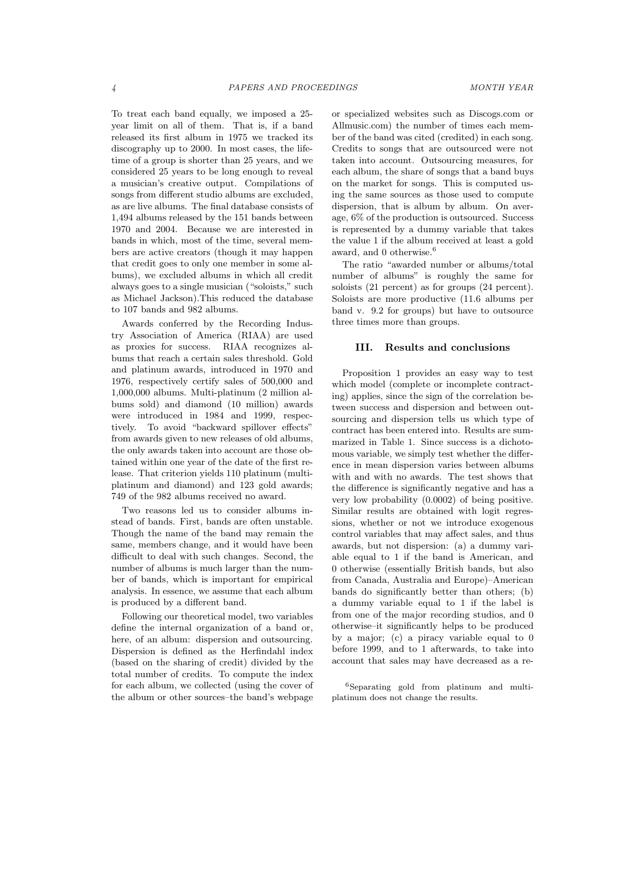To treat each band equally, we imposed a 25 year limit on all of them. That is, if a band released its first album in 1975 we tracked its discography up to 2000. In most cases, the lifetime of a group is shorter than 25 years, and we considered 25 years to be long enough to reveal a musician's creative output. Compilations of songs from different studio albums are excluded, as are live albums. The final database consists of 1,494 albums released by the 151 bands between 1970 and 2004. Because we are interested in bands in which, most of the time, several members are active creators (though it may happen that credit goes to only one member in some albums), we excluded albums in which all credit always goes to a single musician ("soloists," such as Michael Jackson).This reduced the database to 107 bands and 982 albums.

Awards conferred by the Recording Industry Association of America (RIAA) are used as proxies for success. RIAA recognizes albums that reach a certain sales threshold. Gold and platinum awards, introduced in 1970 and 1976, respectively certify sales of 500,000 and 1,000,000 albums. Multi-platinum (2 million albums sold) and diamond (10 million) awards were introduced in 1984 and 1999, respectively. To avoid "backward spillover effects" from awards given to new releases of old albums, the only awards taken into account are those obtained within one year of the date of the first release. That criterion yields 110 platinum (multiplatinum and diamond) and 123 gold awards; 749 of the 982 albums received no award.

Two reasons led us to consider albums instead of bands. First, bands are often unstable. Though the name of the band may remain the same, members change, and it would have been difficult to deal with such changes. Second, the number of albums is much larger than the number of bands, which is important for empirical analysis. In essence, we assume that each album is produced by a different band.

Following our theoretical model, two variables define the internal organization of a band or, here, of an album: dispersion and outsourcing. Dispersion is defined as the Herfindahl index (based on the sharing of credit) divided by the total number of credits. To compute the index for each album, we collected (using the cover of the album or other sources–the band's webpage or specialized websites such as Discogs.com or Allmusic.com) the number of times each member of the band was cited (credited) in each song. Credits to songs that are outsourced were not taken into account. Outsourcing measures, for each album, the share of songs that a band buys on the market for songs. This is computed using the same sources as those used to compute dispersion, that is album by album. On average, 6% of the production is outsourced. Success is represented by a dummy variable that takes the value 1 if the album received at least a gold award, and 0 otherwise. $^6$ 

The ratio "awarded number or albums/total number of albums" is roughly the same for soloists (21 percent) as for groups (24 percent). Soloists are more productive (11.6 albums per band v. 9.2 for groups) but have to outsource three times more than groups.

# III. Results and conclusions

Proposition 1 provides an easy way to test which model (complete or incomplete contracting) applies, since the sign of the correlation between success and dispersion and between outsourcing and dispersion tells us which type of contract has been entered into. Results are summarized in Table 1. Since success is a dichotomous variable, we simply test whether the difference in mean dispersion varies between albums with and with no awards. The test shows that the difference is significantly negative and has a very low probability (0.0002) of being positive. Similar results are obtained with logit regressions, whether or not we introduce exogenous control variables that may affect sales, and thus awards, but not dispersion: (a) a dummy variable equal to 1 if the band is American, and 0 otherwise (essentially British bands, but also from Canada, Australia and Europe)–American bands do significantly better than others; (b) a dummy variable equal to 1 if the label is from one of the major recording studios, and 0 otherwise–it significantly helps to be produced by a major; (c) a piracy variable equal to 0 before 1999, and to 1 afterwards, to take into account that sales may have decreased as a re-

<sup>6</sup>Separating gold from platinum and multiplatinum does not change the results.